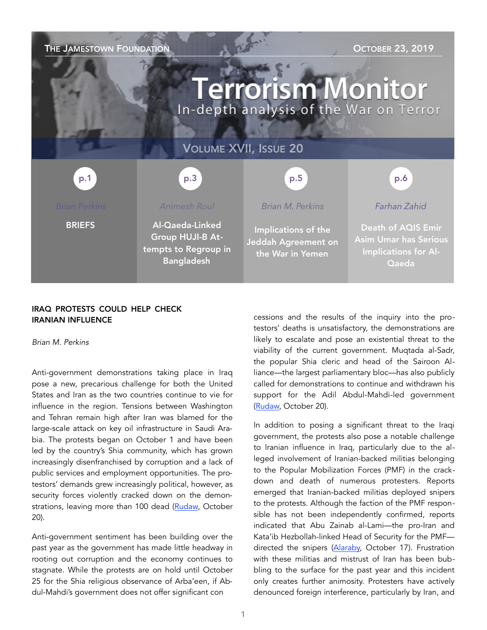| THE JAMESTOWN FOUNDATION<br><b>OCTOBER 23, 2019</b><br><b>Terrorism Monitor</b><br>In-depth analysis of the War on Terror |                                                                                         |                                                                |                                                                                                   |
|---------------------------------------------------------------------------------------------------------------------------|-----------------------------------------------------------------------------------------|----------------------------------------------------------------|---------------------------------------------------------------------------------------------------|
| <b>VOLUME XVII, ISSUE 20</b>                                                                                              |                                                                                         |                                                                |                                                                                                   |
| p.1                                                                                                                       | p.3                                                                                     | p.5                                                            | p.6                                                                                               |
| <b>Brian Perkins</b>                                                                                                      | <b>Animesh Roul</b>                                                                     | <b>Brian M. Perkins</b>                                        | Farhan Zahid                                                                                      |
| <b>BRIEFS</b>                                                                                                             | Al-Qaeda-Linked<br><b>Group HUJI-B At-</b><br>tempts to Regroup in<br><b>Bangladesh</b> | Implications of the<br>Jeddah Agreement on<br>the War in Yemen | <b>Death of AQIS Emir</b><br><b>Asim Umar has Serious</b><br><b>Implications for Al-</b><br>Qaeda |

## IRAQ PROTESTS COULD HELP CHECK IRANIAN INFLUENCE

*Brian M. Perkins* 

Anti-government demonstrations taking place in Iraq pose a new, precarious challenge for both the United States and Iran as the two countries continue to vie for influence in the region. Tensions between Washington and Tehran remain high after Iran was blamed for the large-scale attack on key oil infrastructure in Saudi Arabia. The protests began on October 1 and have been led by the country's Shia community, which has grown increasingly disenfranchised by corruption and a lack of public services and employment opportunities. The protestors' demands grew increasingly political, however, as security forces violently cracked down on the demon-strations, leaving more than 100 dead [\(Rudaw,](https://www.rudaw.net/english/middleeast/iraq/20102019) October 20).

Anti-government sentiment has been building over the past year as the government has made little headway in rooting out corruption and the economy continues to stagnate. While the protests are on hold until October 25 for the Shia religious observance of Arba'een, if Abdul-Mahdi's government does not offer significant con

cessions and the results of the inquiry into the protestors' deaths is unsatisfactory, the demonstrations are likely to escalate and pose an existential threat to the viability of the current government. Muqtada al-Sadr, the popular Shia cleric and head of the Sairoon Alliance—the largest parliamentary bloc—has also publicly called for demonstrations to continue and withdrawn his support for the Adil Abdul-Mahdi-led government ([Rudaw,](https://www.rudaw.net/english/middleeast/iraq/20102019) October 20).

In addition to posing a significant threat to the Iraqi government, the protests also pose a notable challenge to Iranian influence in Iraq, particularly due to the alleged involvement of Iranian-backed militias belonging to the Popular Mobilization Forces (PMF) in the crackdown and death of numerous protesters. Reports emerged that Iranian-backed militias deployed snipers to the protests. Although the faction of the PMF responsible has not been independently confirmed, reports indicated that Abu Zainab al-Lami—the pro-Iran and Kata'ib Hezbollah-linked Head of Security for the PMF directed the snipers ([Alaraby,](https://www.alaraby.co.uk/english/news/2019/10/17/iran-backed-militias-deployed-snipers-in-iraq-protests) October 17). Frustration with these militias and mistrust of Iran has been bubbling to the surface for the past year and this incident only creates further animosity. Protesters have actively denounced foreign interference, particularly by Iran, and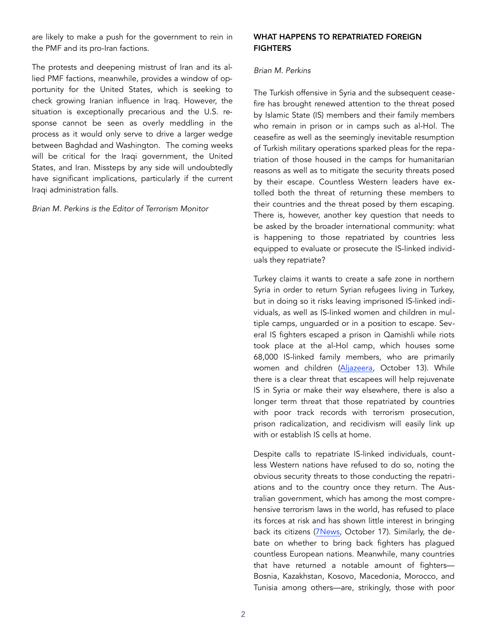are likely to make a push for the government to rein in the PMF and its pro-Iran factions.

The protests and deepening mistrust of Iran and its allied PMF factions, meanwhile, provides a window of opportunity for the United States, which is seeking to check growing Iranian influence in Iraq. However, the situation is exceptionally precarious and the U.S. response cannot be seen as overly meddling in the process as it would only serve to drive a larger wedge between Baghdad and Washington. The coming weeks will be critical for the Iraqi government, the United States, and Iran. Missteps by any side will undoubtedly have significant implications, particularly if the current Iraqi administration falls.

*Brian M. Perkins is the Editor of Terrorism Monitor* 

### WHAT HAPPENS TO REPATRIATED FOREIGN **FIGHTERS**

## *Brian M. Perkins*

The Turkish offensive in Syria and the subsequent ceasefire has brought renewed attention to the threat posed by Islamic State (IS) members and their family members who remain in prison or in camps such as al-Hol. The ceasefire as well as the seemingly inevitable resumption of Turkish military operations sparked pleas for the repatriation of those housed in the camps for humanitarian reasons as well as to mitigate the security threats posed by their escape. Countless Western leaders have extolled both the threat of returning these members to their countries and the threat posed by them escaping. There is, however, another key question that needs to be asked by the broader international community: what is happening to those repatriated by countries less equipped to evaluate or prosecute the IS-linked individuals they repatriate?

Turkey claims it wants to create a safe zone in northern Syria in order to return Syrian refugees living in Turkey, but in doing so it risks leaving imprisoned IS-linked individuals, as well as IS-linked women and children in multiple camps, unguarded or in a position to escape. Several IS fighters escaped a prison in Qamishli while riots took place at the al-Hol camp, which houses some 68,000 IS-linked family members, who are primarily women and children ([Aljazeera,](https://www.alj) October 13). While there is a clear threat that escapees will help rejuvenate IS in Syria or make their way elsewhere, there is also a longer term threat that those repatriated by countries with poor track records with terrorism prosecution, prison radicalization, and recidivism will easily link up with or establish IS cells at home.

Despite calls to repatriate IS-linked individuals, countless Western nations have refused to do so, noting the obvious security threats to those conducting the repatriations and to the country once they return. The Australian government, which has among the most comprehensive terrorism laws in the world, has refused to place its forces at risk and has shown little interest in bringing back its citizens (7News, October 17). Similarly, the debate on whether to bring back fighters has plagued countless European nations. Meanwhile, many countries that have returned a notable amount of fighters— Bosnia, Kazakhstan, Kosovo, Macedonia, Morocco, and Tunisia among others—are, strikingly, those with poor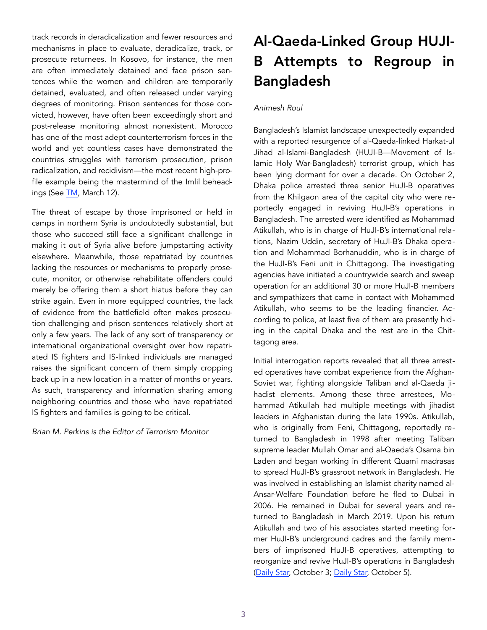track records in deradicalization and fewer resources and mechanisms in place to evaluate, deradicalize, track, or prosecute returnees. In Kosovo, for instance, the men are often immediately detained and face prison sentences while the women and children are temporarily detained, evaluated, and often released under varying degrees of monitoring. Prison sentences for those convicted, however, have often been exceedingly short and post-release monitoring almost nonexistent. Morocco has one of the most adept counterterrorism forces in the world and yet countless cases have demonstrated the countries struggles with terrorism prosecution, prison radicalization, and recidivism—the most recent high-profile example being the mastermind of the Imlil beheadings (See [TM,](https://jamestown.org/program/prison-radicalization-and-recidivism-threaten-moroccan-and-european-security/) March 12).

The threat of escape by those imprisoned or held in camps in northern Syria is undoubtedly substantial, but those who succeed still face a significant challenge in making it out of Syria alive before jumpstarting activity elsewhere. Meanwhile, those repatriated by countries lacking the resources or mechanisms to properly prosecute, monitor, or otherwise rehabilitate offenders could merely be offering them a short hiatus before they can strike again. Even in more equipped countries, the lack of evidence from the battlefield often makes prosecution challenging and prison sentences relatively short at only a few years. The lack of any sort of transparency or international organizational oversight over how repatriated IS fighters and IS-linked individuals are managed raises the significant concern of them simply cropping back up in a new location in a matter of months or years. As such, transparency and information sharing among neighboring countries and those who have repatriated IS fighters and families is going to be critical.

*Brian M. Perkins is the Editor of Terrorism Monitor* 

# Al-Qaeda-Linked Group HUJI-B Attempts to Regroup in Bangladesh

# *Animesh Roul*

Bangladesh's Islamist landscape unexpectedly expanded with a reported resurgence of al-Qaeda-linked Harkat-ul Jihad al-Islami-Bangladesh (HUJI-B—Movement of Islamic Holy War-Bangladesh) terrorist group, which has been lying dormant for over a decade. On October 2, Dhaka police arrested three senior HuJI-B operatives from the Khilgaon area of the capital city who were reportedly engaged in reviving HuJI-B's operations in Bangladesh. The arrested were identified as Mohammad Atikullah, who is in charge of HuJI-B's international relations, Nazim Uddin, secretary of HuJI-B's Dhaka operation and Mohammad Borhanuddin, who is in charge of the HuJI-B's Feni unit in Chittagong. The investigating agencies have initiated a countrywide search and sweep operation for an additional 30 or more HuJI-B members and sympathizers that came in contact with Mohammed Atikullah, who seems to be the leading financier. According to police, at least five of them are presently hiding in the capital Dhaka and the rest are in the Chittagong area.

Initial interrogation reports revealed that all three arrested operatives have combat experience from the Afghan-Soviet war, fighting alongside Taliban and al-Qaeda jihadist elements. Among these three arrestees, Mohammad Atikullah had multiple meetings with jihadist leaders in Afghanistan during the late 1990s. Atikullah, who is originally from Feni, Chittagong, reportedly returned to Bangladesh in 1998 after meeting Taliban supreme leader Mullah Omar and al-Qaeda's Osama bin Laden and began working in different Quami madrasas to spread HuJI-B's grassroot network in Bangladesh. He was involved in establishing an Islamist charity named al-Ansar-Welfare Foundation before he fled to Dubai in 2006. He remained in Dubai for several years and returned to Bangladesh in March 2019. Upon his return Atikullah and two of his associates started meeting former HuJI-B's underground cadres and the family members of imprisoned HuJI-B operatives, attempting to reorganize and revive HuJI-B's operations in Bangladesh (Daily Star, October 3; [Daily Star,](https://www.thedailystar.net/frontpage/news/hunt-33-huji-operatives-1809553) October 5).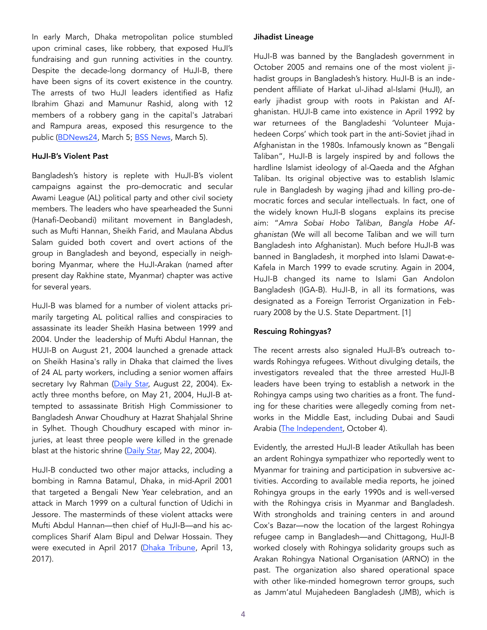In early March, Dhaka metropolitan police stumbled upon criminal cases, like robbery, that exposed HuJI's fundraising and gun running activities in the country. Despite the decade-long dormancy of HuJI-B, there have been signs of its covert existence in the country. The arrests of two HuJI leaders identified as Hafiz Ibrahim Ghazi and Mamunur Rashid, along with 12 members of a robbery gang in the capital's Jatrabari and Rampura areas, exposed this resurgence to the public ([BDNews24](https://bdnews24.com/banglades), March 5; [BSS News,](http://www.bssnews.net/?p=174976) March 5).

#### HuJI-B's Violent Past

Bangladesh's history is replete with HuJI-B's violent campaigns against the pro-democratic and secular Awami League (AL) political party and other civil society members. The leaders who have spearheaded the Sunni (Hanafi-Deobandi) militant movement in Bangladesh, such as Mufti Hannan, Sheikh Farid, and Maulana Abdus Salam guided both covert and overt actions of the group in Bangladesh and beyond, especially in neighboring Myanmar, where the HuJI-Arakan (named after present day Rakhine state, Myanmar) chapter was active for several years.

HuJI-B was blamed for a number of violent attacks primarily targeting AL political rallies and conspiracies to assassinate its leader Sheikh Hasina between 1999 and 2004. Under the leadership of Mufti Abdul Hannan, the HUJI-B on August 21, 2004 launched a grenade attack on Sheikh Hasina's rally in Dhaka that claimed the lives of 24 AL party workers, including a senior women affairs secretary Ivy Rahman [\(Daily Star,](http://archive.thedailystar.net/2004/08/22/d4082201066.htm) August 22, 2004). Exactly three months before, on May 21, 2004, HuJI-B attempted to assassinate British High Commissioner to Bangladesh Anwar Choudhury at Hazrat Shahjalal Shrine in Sylhet. Though Choudhury escaped with minor injuries, at least three people were killed in the grenade blast at the historic shrine [\(Daily Star,](http://archive.thedailystar.net/2004/05/22/d4052201011.htm) May 22, 2004).

HuJI-B conducted two other major attacks, including a bombing in Ramna Batamul, Dhaka, in mid-April 2001 that targeted a Bengali New Year celebration, and an attack in March 1999 on a cultural function of Udichi in Jessore. The masterminds of these violent attacks were Mufti Abdul Hannan—then chief of HuJI-B—and his accomplices Sharif Alam Bipul and Delwar Hossain. They were executed in April 2017 ([Dhaka Tribune,](https://www.dhakatribune.com/bangladesh/crime/2017/04/12/militant-kingpin-mufti-hannans-cases) April 13, 2017).

### Jihadist Lineage

HuJI-B was banned by the Bangladesh government in October 2005 and remains one of the most violent jihadist groups in Bangladesh's history. HuJI-B is an independent affiliate of Harkat ul-Jihad al-Islami (HuJI), an early jihadist group with roots in Pakistan and Afghanistan. HUJI-B came into existence in April 1992 by war returnees of the Bangladeshi 'Volunteer Mujahedeen Corps' which took part in the anti-Soviet jihad in Afghanistan in the 1980s. Infamously known as "Bengali Taliban", HuJI-B is largely inspired by and follows the hardline Islamist ideology of al-Qaeda and the Afghan Taliban. Its original objective was to establish Islamic rule in Bangladesh by waging jihad and killing pro-democratic forces and secular intellectuals. In fact, one of the widely known HuJI-B slogans explains its precise aim: "*Amra Sobai Hobo Taliban, Bangla Hobe Afghanistan* (We will all become Taliban and we will turn Bangladesh into Afghanistan). Much before HuJI-B was banned in Bangladesh, it morphed into Islami Dawat-e-Kafela in March 1999 to evade scrutiny. Again in 2004, HuJI-B changed its name to Islami Gan Andolon Bangladesh (IGA-B). HuJI-B, in all its formations, was designated as a Foreign Terrorist Organization in February 2008 by the U.S. State Department. [1]

## Rescuing Rohingyas?

The recent arrests also signaled HuJI-B's outreach towards Rohingya refugees. Without divulging details, the investigators revealed that the three arrested HuJI-B leaders have been trying to establish a network in the Rohingya camps using two charities as a front. The funding for these charities were allegedly coming from networks in the Middle East, including Dubai and Saudi Arabia ([The Independent,](http://www.theindependentbd.com/arcprint/details/218023/2019-10-04) October 4).

Evidently, the arrested HuJI-B leader Atikullah has been an ardent Rohingya sympathizer who reportedly went to Myanmar for training and participation in subversive activities. According to available media reports, he joined Rohingya groups in the early 1990s and is well-versed with the Rohingya crisis in Myanmar and Bangladesh. With strongholds and training centers in and around Cox's Bazar—now the location of the largest Rohingya refugee camp in Bangladesh—and Chittagong, HuJI-B worked closely with Rohingya solidarity groups such as Arakan Rohingya National Organisation (ARNO) in the past. The organization also shared operational space with other like-minded homegrown terror groups, such as Jamm'atul Mujahedeen Bangladesh (JMB), which is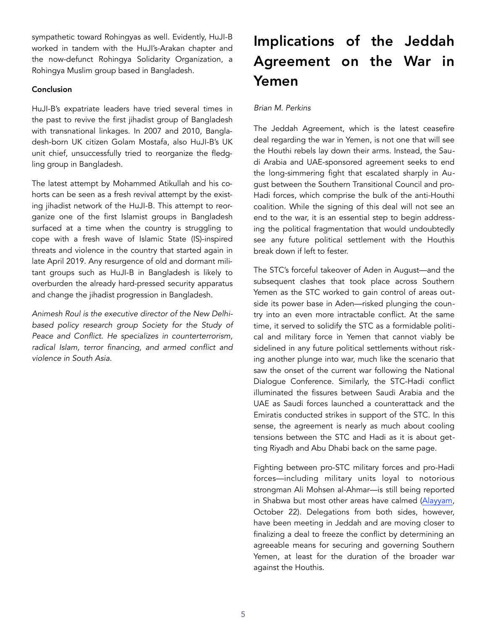sympathetic toward Rohingyas as well. Evidently, HuJI-B worked in tandem with the HuJI's-Arakan chapter and the now-defunct Rohingya Solidarity Organization, a Rohingya Muslim group based in Bangladesh.

# Conclusion

HuJI-B's expatriate leaders have tried several times in the past to revive the first jihadist group of Bangladesh with transnational linkages. In 2007 and 2010, Bangladesh-born UK citizen Golam Mostafa, also HuJI-B's UK unit chief, unsuccessfully tried to reorganize the fledgling group in Bangladesh.

The latest attempt by Mohammed Atikullah and his cohorts can be seen as a fresh revival attempt by the existing jihadist network of the HuJI-B. This attempt to reorganize one of the first Islamist groups in Bangladesh surfaced at a time when the country is struggling to cope with a fresh wave of Islamic State (IS)-inspired threats and violence in the country that started again in late April 2019. Any resurgence of old and dormant militant groups such as HuJI-B in Bangladesh is likely to overburden the already hard-pressed security apparatus and change the jihadist progression in Bangladesh.

*Animesh Roul is the executive director of the New Delhibased policy research group [Society for the Study of](http://www.sspconline.org/)  [Peace and Conflict](http://www.sspconline.org/). He specializes in counterterrorism, radical Islam, terror financing, and armed conflict and violence in South Asia.*

# Implications of the Jeddah Agreement on the War in Yemen

# *Brian M. Perkins*

The Jeddah Agreement, which is the latest ceasefire deal regarding the war in Yemen, is not one that will see the Houthi rebels lay down their arms. Instead, the Saudi Arabia and UAE-sponsored agreement seeks to end the long-simmering fight that escalated sharply in August between the Southern Transitional Council and pro-Hadi forces, which comprise the bulk of the anti-Houthi coalition. While the signing of this deal will not see an end to the war, it is an essential step to begin addressing the political fragmentation that would undoubtedly see any future political settlement with the Houthis break down if left to fester.

The STC's forceful takeover of Aden in August—and the subsequent clashes that took place across Southern Yemen as the STC worked to gain control of areas outside its power base in Aden—risked plunging the country into an even more intractable conflict. At the same time, it served to solidify the STC as a formidable political and military force in Yemen that cannot viably be sidelined in any future political settlements without risking another plunge into war, much like the scenario that saw the onset of the current war following the National Dialogue Conference. Similarly, the STC-Hadi conflict illuminated the fissures between Saudi Arabia and the UAE as Saudi forces launched a counterattack and the Emiratis conducted strikes in support of the STC. In this sense, the agreement is nearly as much about cooling tensions between the STC and Hadi as it is about getting Riyadh and Abu Dhabi back on the same page.

Fighting between pro-STC military forces and pro-Hadi forces—including military units loyal to notorious strongman Ali Mohsen al-Ahmar—is still being reported in Shabwa but most other areas have calmed [\(Alayyam,](https://www.alayyam.info/news/7Z4G7VFU-VTLNIW-1567?utm_source=dlvr.it&utm_medium=twitter) October 22). Delegations from both sides, however, have been meeting in Jeddah and are moving closer to finalizing a deal to freeze the conflict by determining an agreeable means for securing and governing Southern Yemen, at least for the duration of the broader war against the Houthis.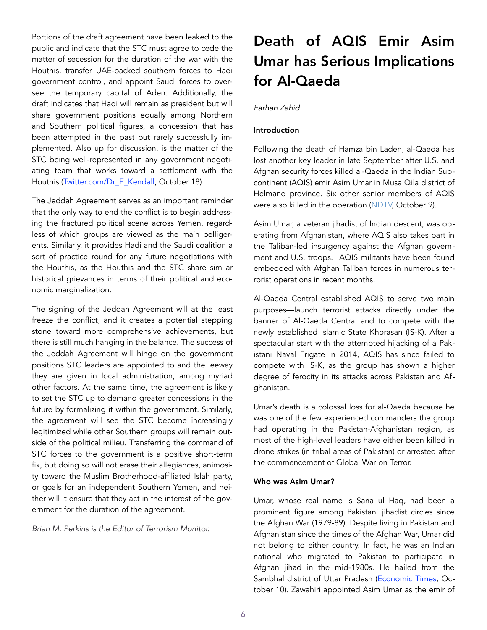Portions of the draft agreement have been leaked to the public and indicate that the STC must agree to cede the matter of secession for the duration of the war with the Houthis, transfer UAE-backed southern forces to Hadi government control, and appoint Saudi forces to oversee the temporary capital of Aden. Additionally, the draft indicates that Hadi will remain as president but will share government positions equally among Northern and Southern political figures, a concession that has been attempted in the past but rarely successfully implemented. Also up for discussion, is the matter of the STC being well-represented in any government negotiating team that works toward a settlement with the Houthis (Twitter.com/Dr\_E\_Kendall, October 18).

The Jeddah Agreement serves as an important reminder that the only way to end the conflict is to begin addressing the fractured political scene across Yemen, regardless of which groups are viewed as the main belligerents. Similarly, it provides Hadi and the Saudi coalition a sort of practice round for any future negotiations with the Houthis, as the Houthis and the STC share similar historical grievances in terms of their political and economic marginalization.

The signing of the Jeddah Agreement will at the least freeze the conflict, and it creates a potential stepping stone toward more comprehensive achievements, but there is still much hanging in the balance. The success of the Jeddah Agreement will hinge on the government positions STC leaders are appointed to and the leeway they are given in local administration, among myriad other factors. At the same time, the agreement is likely to set the STC up to demand greater concessions in the future by formalizing it within the government. Similarly, the agreement will see the STC become increasingly legitimized while other Southern groups will remain outside of the political milieu. Transferring the command of STC forces to the government is a positive short-term fix, but doing so will not erase their allegiances, animosity toward the Muslim Brotherhood-affiliated Islah party, or goals for an independent Southern Yemen, and neither will it ensure that they act in the interest of the government for the duration of the agreement.

*Brian M. Perkins is the Editor of Terrorism Monitor.* 

# Death of AQIS Emir Asim Umar has Serious Implications for Al-Qaeda

## *Farhan Zahid*

# Introduction

Following the death of Hamza bin Laden, al-Qaeda has lost another key leader in late September after U.S. and Afghan security forces killed al-Qaeda in the Indian Subcontinent (AQIS) emir Asim Umar in Musa Qila district of Helmand province. Six other senior members of AQIS were also killed in the operation ([NDTV, October 9](https://www.ndtv.com/world-news/al-qa)).

Asim Umar, a veteran jihadist of Indian descent, was operating from Afghanistan, where AQIS also takes part in the Taliban-led insurgency against the Afghan government and U.S. troops. AQIS militants have been found embedded with Afghan Taliban forces in numerous terrorist operations in recent months.

Al-Qaeda Central established AQIS to serve two main purposes—launch terrorist attacks directly under the banner of Al-Qaeda Central and to compete with the newly established Islamic State Khorasan (IS-K). After a spectacular start with the attempted hijacking of a Pakistani Naval Frigate in 2014, AQIS has since failed to compete with IS-K, as the group has shown a higher degree of ferocity in its attacks across Pakistan and Afghanistan.

Umar's death is a colossal loss for al-Qaeda because he was one of the few experienced commanders the group had operating in the Pakistan-Afghanistan region, as most of the high-level leaders have either been killed in drone strikes (in tribal areas of Pakistan) or arrested after the commencement of Global War on Terror.

## Who was Asim Umar?

Umar, whose real name is Sana ul Haq, had been a prominent figure among Pakistani jihadist circles since the Afghan War (1979-89). Despite living in Pakistan and Afghanistan since the times of the Afghan War, Umar did not belong to either country. In fact, he was an Indian national who migrated to Pakistan to participate in Afghan jihad in the mid-1980s. He hailed from the Sambhal district of Uttar Pradesh ([Economic Times,](https://economictimes.in) October 10). Zawahiri appointed Asim Umar as the emir of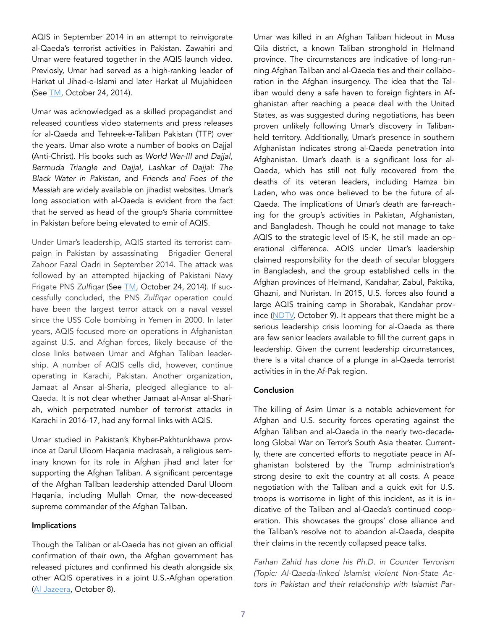AQIS in September 2014 in an attempt to reinvigorate al-Qaeda's terrorist activities in Pakistan. Zawahiri and Umar were featured together in the AQIS launch video. Previosly, Umar had served as a high-ranking leader of Harkat ul Jihad-e-Islami and later Harkat ul Mujahideen (See TM, October 24, 2014).

Umar was acknowledged as a skilled propagandist and released countless video statements and press releases for al-Qaeda and Tehreek-e-Taliban Pakistan (TTP) over the years. Umar also wrote a number of books on Dajjal (Anti-Christ). His books such as *World War-III and Dajjal, Bermuda Triangle and Dajjal, Lashkar of Dajjal: The Black Water in Pakistan,* and *Friends and Foes of the Messiah* are widely available on jihadist websites. Umar's long association with al-Qaeda is evident from the fact that he served as head of the group's Sharia committee in Pakistan before being elevated to emir of AQIS.

Under Umar's leadership, AQIS started its terrorist campaign in Pakistan by assassinating Brigadier General Zahoor Fazal Qadri in September 2014. The attack was followed by an attempted hijacking of Pakistani Navy Frigate PNS *Zulfiqar* (See [TM](https://jamestown.org/program/al-qaedas-futu), October 24, 2014). If successfully concluded, the PNS *Zulfiqar* operation could have been the largest terror attack on a naval vessel since the USS Cole bombing in Yemen in 2000. In later years, AQIS focused more on operations in Afghanistan against U.S. and Afghan forces, likely because of the close links between Umar and Afghan Taliban leadership. A number of AQIS cells did, however, continue operating in Karachi, Pakistan. Another organization, Jamaat al Ansar al-Sharia, pledged allegiance to al-Qaeda. It is not clear whether Jamaat al-Ansar al-Shariah, which perpetrated number of terrorist attacks in Karachi in 2016-17, had any formal links with AQIS.

Umar studied in Pakistan's Khyber-Pakhtunkhawa province at Darul Uloom Haqania madrasah, a religious seminary known for its role in Afghan jihad and later for supporting the Afghan Taliban. A significant percentage of the Afghan Taliban leadership attended Darul Uloom Haqania, including Mullah Omar, the now-deceased supreme commander of the Afghan Taliban.

#### Implications

Though the Taliban or al-Qaeda has not given an official confirmation of their own, the Afghan government has released pictures and confirmed his death alongside six other AQIS operatives in a joint U.S.-Afghan operation ([Al Jazeera,](https://www.aljazeera.com/news/2019/10/al-qaeda-south-asia-chief-killed-afghanistan-officials-191008154713704.html) October 8).

Umar was killed in an Afghan Taliban hideout in Musa Qila district, a known Taliban stronghold in Helmand province. The circumstances are indicative of long-running Afghan Taliban and al-Qaeda ties and their collaboration in the Afghan insurgency. The idea that the Taliban would deny a safe haven to foreign fighters in Afghanistan after reaching a peace deal with the United States, as was suggested during negotiations, has been proven unlikely following Umar's discovery in Talibanheld territory. Additionally, Umar's presence in southern Afghanistan indicates strong al-Qaeda penetration into Afghanistan. Umar's death is a significant loss for al-Qaeda, which has still not fully recovered from the deaths of its veteran leaders, including Hamza bin Laden, who was once believed to be the future of al-Qaeda. The implications of Umar's death are far-reaching for the group's activities in Pakistan, Afghanistan, and Bangladesh. Though he could not manage to take AQIS to the strategic level of IS-K, he still made an operational difference. AQIS under Umar's leadership claimed responsibility for the death of secular bloggers in Bangladesh, and the group established cells in the Afghan provinces of Helmand, Kandahar, Zabul, Paktika, Ghazni, and Nuristan. In 2015, U.S. forces also found a large AQIS training camp in Shorabak, Kandahar province ([NDTV,](https://www.ndtv.com/world-news/al-qaedas-south-asia-chief-asim-umar-born-in-india-killed-in-afghanistan-report-2113936) October 9). It appears that there might be a serious leadership crisis looming for al-Qaeda as there are few senior leaders available to fill the current gaps in leadership. Given the current leadership circumstances, there is a vital chance of a plunge in al-Qaeda terrorist activities in in the Af-Pak region.

#### Conclusion

The killing of Asim Umar is a notable achievement for Afghan and U.S. security forces operating against the Afghan Taliban and al-Qaeda in the nearly two-decadelong Global War on Terror's South Asia theater. Currently, there are concerted efforts to negotiate peace in Afghanistan bolstered by the Trump administration's strong desire to exit the country at all costs. A peace negotiation with the Taliban and a quick exit for U.S. troops is worrisome in light of this incident, as it is indicative of the Taliban and al-Qaeda's continued cooperation. This showcases the groups' close alliance and the Taliban's resolve not to abandon al-Qaeda, despite their claims in the recently collapsed peace talks.

*Farhan Zahid has done his Ph.D. in Counter Terrorism (Topic: Al-Qaeda-linked Islamist violent Non-State Actors in Pakistan and their relationship with Islamist Par-*